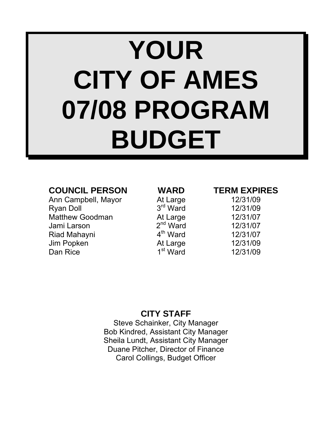# **YOUR CITY OF AMES 07/08 PROGRAM BUDGET**

### **COUNCIL PERSON WARD TERM EXPIRES**

Ann Campbell, Mayor **At Large** 12/31/09 Ryan Doll  $3<sup>rd</sup>$  Ward  $12/31/09$ Matthew Goodman At Large 12/31/07<br>
Jami Larson 2<sup>nd</sup> Ward 12/31/07 Jami Larson 2nd Ward 12/31/07 Riad Mahayni 4<sup>th</sup> Ward 12/31/07<br>Jim Popken At Large 12/31/09 Jim Popken At Large 12/31/09 Dan Rice  $1^{\text{st}}$  Ward  $12/31/09$ 

### **CITY STAFF**

Steve Schainker, City Manager Bob Kindred, Assistant City Manager Sheila Lundt, Assistant City Manager Duane Pitcher, Director of Finance Carol Collings, Budget Officer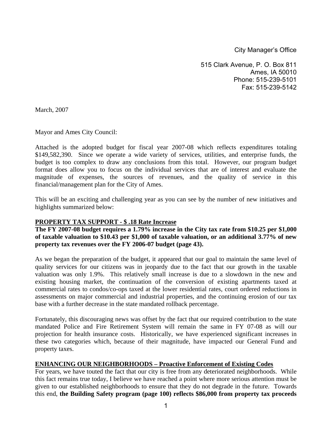City Manager's Office

515 Clark Avenue, P. O. Box 811 Ames, IA 50010 Phone: 515-239-5101 Fax: 515-239-5142

March, 2007

Mayor and Ames City Council:

Attached is the adopted budget for fiscal year 2007-08 which reflects expenditures totaling \$149,582,390. Since we operate a wide variety of services, utilities, and enterprise funds, the budget is too complex to draw any conclusions from this total. However, our program budget format does allow you to focus on the individual services that are of interest and evaluate the magnitude of expenses, the sources of revenues, and the quality of service in this financial/management plan for the City of Ames.

This will be an exciting and challenging year as you can see by the number of new initiatives and highlights summarized below:

#### **PROPERTY TAX SUPPORT - \$ .18 Rate Increase**

**The FY 2007-08 budget requires a 1.79% increase in the City tax rate from \$10.25 per \$1,000 of taxable valuation to \$10.43 per \$1,000 of taxable valuation, or an additional 3.77% of new property tax revenues over the FY 2006-07 budget (page 43).** 

As we began the preparation of the budget, it appeared that our goal to maintain the same level of quality services for our citizens was in jeopardy due to the fact that our growth in the taxable valuation was only 1.9%. This relatively small increase is due to a slowdown in the new and existing housing market, the continuation of the conversion of existing apartments taxed at commercial rates to condos/co-ops taxed at the lower residential rates, court ordered reductions in assessments on major commercial and industrial properties, and the continuing erosion of our tax base with a further decrease in the state mandated rollback percentage.

Fortunately, this discouraging news was offset by the fact that our required contribution to the state mandated Police and Fire Retirement System will remain the same in FY 07-08 as will our projection for health insurance costs. Historically, we have experienced significant increases in these two categories which, because of their magnitude, have impacted our General Fund and property taxes.

#### **ENHANCING OUR NEIGHBORHOODS – Proactive Enforcement of Existing Codes**

For years, we have touted the fact that our city is free from any deteriorated neighborhoods. While this fact remains true today, I believe we have reached a point where more serious attention must be given to our established neighborhoods to ensure that they do not degrade in the future. Towards this end, **the Building Safety program (page 100) reflects \$86,000 from property tax proceeds**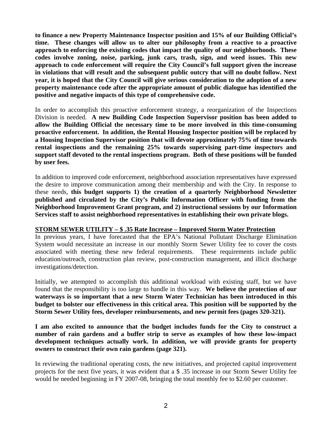**to finance a new Property Maintenance Inspector position and 15% of our Building Official's time. These changes will allow us to alter our philosophy from a reactive to a proactive approach to enforcing the existing codes that impact the quality of our neighborhoods. These codes involve zoning, noise, parking, junk cars, trash, sign, and weed issues. This new approach to code enforcement will require the City Council's full support given the increase in violations that will result and the subsequent public outcry that will no doubt follow. Next year, it is hoped that the City Council will give serious consideration to the adoption of a new property maintenance code after the appropriate amount of public dialogue has identified the positive and negative impacts of this type of comprehensive code.** 

In order to accomplish this proactive enforcement strategy, a reorganization of the Inspections Division is needed. **A new Building Code Inspection Supervisor position has been added to allow the Building Official the necessary time to be more involved in this time-consuming proactive enforcement. In addition, the Rental Housing Inspector position will be replaced by a Housing Inspection Supervisor position that will devote approximately 75% of time towards rental inspections and the remaining 25% towards supervising part-time inspectors and support staff devoted to the rental inspections program. Both of these positions will be funded by user fees.** 

In addition to improved code enforcement, neighborhood association representatives have expressed the desire to improve communication among their membership and with the City. In response to these needs, **this budget supports 1) the creation of a quarterly Neighborhood Newsletter published and circulated by the City's Public Information Officer with funding from the Neighborhood Improvement Grant program, and 2) instructional sessions by our Information Services staff to assist neighborhood representatives in establishing their own private blogs.**

#### **STORM SEWER UTILITY – \$ .35 Rate Increase – Improved Storm Water Protection**

In previous years, I have forecasted that the EPA's National Pollutant Discharge Elimination System would necessitate an increase in our monthly Storm Sewer Utility fee to cover the costs associated with meeting these new federal requirements. These requirements include public education/outreach, construction plan review, post-construction management, and illicit discharge investigations/detection.

Initially, we attempted to accomplish this additional workload with existing staff, but we have found that the responsibility is too large to handle in this way. **We believe the protection of our waterways is so important that a new Storm Water Technician has been introduced in this budget to bolster our effectiveness in this critical area. This position will be supported by the Storm Sewer Utility fees, developer reimbursements, and new permit fees (pages 320-321).**

**I am also excited to announce that the budget includes funds for the City to construct a number of rain gardens and a buffer strip to serve as examples of how these low-impact development techniques actually work. In addition, we will provide grants for property owners to construct their own rain gardens (page 321).** 

In reviewing the traditional operating costs, the new initiatives, and projected capital improvement projects for the next five years, it was evident that a \$ .35 increase in our Storm Sewer Utility fee would be needed beginning in FY 2007-08, bringing the total monthly fee to \$2.60 per customer.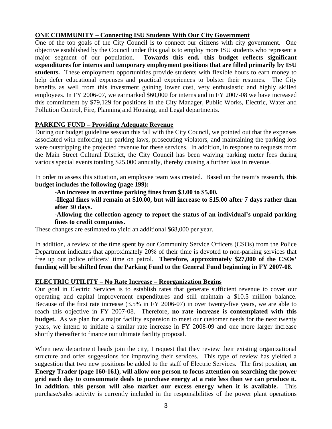#### **ONE COMMUNITY – Connecting ISU Students With Our City Government**

One of the top goals of the City Council is to connect our citizens with city government. One objective established by the Council under this goal is to employ more ISU students who represent a major segment of our population. **Towards this end, this budget reflects significant expenditures for interns and temporary employment positions that are filled primarily by ISU students.** These employment opportunities provide students with flexible hours to earn money to help defer educational expenses and practical experiences to bolster their resumes. The City benefits as well from this investment gaining lower cost, very enthusiastic and highly skilled employees. In FY 2006-07, we earmarked \$60,000 for interns and in FY 2007-08 we have increased this commitment by \$79,129 for positions in the City Manager, Public Works, Electric, Water and Pollution Control, Fire, Planning and Housing, and Legal departments.

#### **PARKING FUND – Providing Adequate Revenue**

During our budget guideline session this fall with the City Council, we pointed out that the expenses associated with enforcing the parking laws, prosecuting violators, and maintaining the parking lots were outstripping the projected revenue for these services. In addition, in response to requests from the Main Street Cultural District, the City Council has been waiving parking meter fees during various special events totaling \$25,000 annually, thereby causing a further loss in revenue.

In order to assess this situation, an employee team was created. Based on the team's research, **this budget includes the following (page 199):** 

**-An increase in overtime parking fines from \$3.00 to \$5.00.** 

**-Illegal fines will remain at \$10.00, but will increase to \$15.00 after 7 days rather than after 30 days.** 

**-Allowing the collection agency to report the status of an individual's unpaid parking fines to credit companies.** 

These changes are estimated to yield an additional \$68,000 per year.

In addition, a review of the time spent by our Community Service Officers (CSOs) from the Police Department indicates that approximately 20% of their time is devoted to non-parking services that free up our police officers' time on patrol. **Therefore, approximately \$27,000 of the CSOs' funding will be shifted from the Parking Fund to the General Fund beginning in FY 2007-08.** 

#### **ELECTRIC UTILITY – No Rate Increase – Reorganization Begins**

Our goal in Electric Services is to establish rates that generate sufficient revenue to cover our operating and capital improvement expenditures and still maintain a \$10.5 million balance. Because of the first rate increase (3.5% in FY 2006-07) in over twenty-five years, we are able to reach this objective in FY 2007-08. Therefore, **no rate increase is contemplated with this budget.** As we plan for a major facility expansion to meet our customer needs for the next twenty years, we intend to initiate a similar rate increase in FY 2008-09 and one more larger increase shortly thereafter to finance our ultimate facility proposal.

When new department heads join the city, I request that they review their existing organizational structure and offer suggestions for improving their services. This type of review has yielded a suggestion that two new positions be added to the staff of Electric Services. The first position, **an Energy Trader (page 160-161), will allow one person to focus attention on searching the power grid each day to consummate deals to purchase energy at a rate less than we can produce it. In addition, this person will also market our excess energy when it is available.** This purchase/sales activity is currently included in the responsibilities of the power plant operations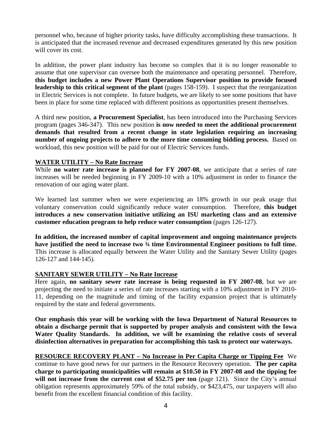personnel who, because of higher priority tasks, have difficulty accomplishing these transactions. It is anticipated that the increased revenue and decreased expenditures generated by this new position will cover its cost.

In addition, the power plant industry has become so complex that it is no longer reasonable to assume that one supervisor can oversee both the maintenance and operating personnel. Therefore, **this budget includes a new Power Plant Operations Supervisor position to provide focused leadership to this critical segment of the plant** (pages 158-159). I suspect that the reorganization in Electric Services is not complete. In future budgets, we are likely to see some positions that have been in place for some time replaced with different positions as opportunities present themselves.

A third new position, **a Procurement Specialist**, has been introduced into the Purchasing Services program (pages 346-347). This new position **is now needed to meet the additional procurement demands that resulted from a recent change in state legislation requiring an increasing number of ongoing projects to adhere to the more time consuming bidding process.** Based on workload, this new position will be paid for out of Electric Services funds.

#### **WATER UTILITY – No Rate Increase**

While **no water rate increase is planned for FY 2007-08**, we anticipate that a series of rate increases will be needed beginning in FY 2009-10 with a 10% adjustment in order to finance the renovation of our aging water plant.

We learned last summer when we were experiencing an 18% growth in our peak usage that voluntary conservation could significantly reduce water consumption. Therefore, **this budget introduces a new conservation initiative utilizing an ISU marketing class and an extensive customer education program to help reduce water consumption** (pages 126-127).

**In addition, the increased number of capital improvement and ongoing maintenance projects have justified the need to increase two ¾ time Environmental Engineer positions to full time.**  This increase is allocated equally between the Water Utility and the Sanitary Sewer Utility (pages 126-127 and 144-145).

#### **SANITARY SEWER UTILITY – No Rate Increase**

Here again, **no sanitary sewer rate increase is being requested in FY 2007-08**, but we are projecting the need to initiate a series of rate increases starting with a 10% adjustment in FY 2010- 11, depending on the magnitude and timing of the facility expansion project that is ultimately required by the state and federal governments.

**Our emphasis this year will be working with the Iowa Department of Natural Resources to obtain a discharge permit that is supported by proper analysis and consistent with the Iowa Water Quality Standards. In addition, we will be examining the relative costs of several disinfection alternatives in preparation for accomplishing this task to protect our waterways.** 

**RESOURCE RECOVERY PLANT – No Increase in Per Capita Charge or Tipping Fee** We continue to have good news for our partners in the Resource Recovery operation. **The per capita charge to participating municipalities will remain at \$10.50 in FY 2007-08 and the tipping fee**  will not increase from the current cost of \$52.75 per ton (page 121). Since the City's annual obligation represents approximately 59% of the total subsidy, or \$423,475, our taxpayers will also benefit from the excellent financial condition of this facility.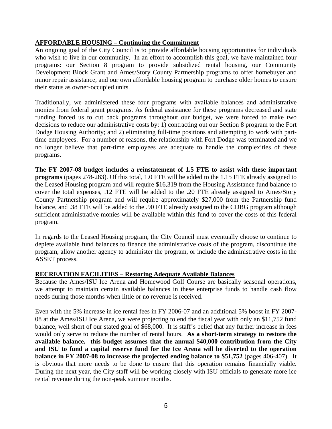#### **AFFORDABLE HOUSING – Continuing the Commitment**

An ongoing goal of the City Council is to provide affordable housing opportunities for individuals who wish to live in our community. In an effort to accomplish this goal, we have maintained four programs: our Section 8 program to provide subsidized rental housing, our Community Development Block Grant and Ames/Story County Partnership programs to offer homebuyer and minor repair assistance, and our own affordable housing program to purchase older homes to ensure their status as owner-occupied units.

Traditionally, we administered these four programs with available balances and administrative monies from federal grant programs. As federal assistance for these programs decreased and state funding forced us to cut back programs throughout our budget, we were forced to make two decisions to reduce our administrative costs by: 1) contracting out our Section 8 program to the Fort Dodge Housing Authority; and 2) eliminating full-time positions and attempting to work with parttime employees. For a number of reasons, the relationship with Fort Dodge was terminated and we no longer believe that part-time employees are adequate to handle the complexities of these programs.

**The FY 2007-08 budget includes a reinstatement of 1.5 FTE to assist with these important programs** (pages 278-283). Of this total, 1.0 FTE will be added to the 1.15 FTE already assigned to the Leased Housing program and will require \$16,319 from the Housing Assistance fund balance to cover the total expenses, .12 FTE will be added to the .20 FTE already assigned to Ames/Story County Partnership program and will require approximately \$27,000 from the Partnership fund balance, and .38 FTE will be added to the .90 FTE already assigned to the CDBG program although sufficient administrative monies will be available within this fund to cover the costs of this federal program.

In regards to the Leased Housing program, the City Council must eventually choose to continue to deplete available fund balances to finance the administrative costs of the program, discontinue the program, allow another agency to administer the program, or include the administrative costs in the ASSET process.

#### **RECREATION FACILITIES – Restoring Adequate Available Balances**

Because the Ames/ISU Ice Arena and Homewood Golf Course are basically seasonal operations, we attempt to maintain certain available balances in these enterprise funds to handle cash flow needs during those months when little or no revenue is received.

Even with the 5% increase in ice rental fees in FY 2006-07 and an additional 5% boost in FY 2007- 08 at the Ames/ISU Ice Arena, we were projecting to end the fiscal year with only an \$11,752 fund balance, well short of our stated goal of \$68,000. It is staff's belief that any further increase in fees would only serve to reduce the number of rental hours. **As a short-term strategy to restore the available balance, this budget assumes that the annual \$40,000 contribution from the City and ISU to fund a capital reserve fund for the Ice Arena will be diverted to the operation balance in FY 2007-08 to increase the projected ending balance to \$51,752** (pages 406-407). It is obvious that more needs to be done to ensure that this operation remains financially viable. During the next year, the City staff will be working closely with ISU officials to generate more ice rental revenue during the non-peak summer months.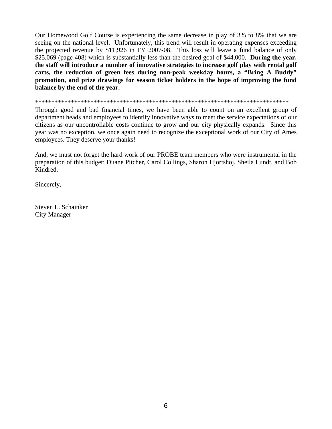Our Homewood Golf Course is experiencing the same decrease in play of 3% to 8% that we are seeing on the national level. Unfortunately, this trend will result in operating expenses exceeding the projected revenue by \$11,926 in FY 2007-08. This loss will leave a fund balance of only \$25,069 (page 408) which is substantially less than the desired goal of \$44,000. **During the year, the staff will introduce a number of innovative strategies to increase golf play with rental golf carts, the reduction of green fees during non-peak weekday hours, a "Bring A Buddy" promotion, and prize drawings for season ticket holders in the hope of improving the fund balance by the end of the year.** 

\*\*\*\*\*\*\*\*\*\*\*\*\*\*\*\*\*\*\*\*\*\*\*\*\*\*\*\*\*\*\*\*\*\*\*\*\*\*\*\*\*\*\*\*\*\*\*\*\*\*\*\*\*\*\*\*\*\*\*\*\*\*\*\*\*\*\*\*\*\*\*\*\*\*\*\*\*\*

Through good and bad financial times, we have been able to count on an excellent group of department heads and employees to identify innovative ways to meet the service expectations of our citizens as our uncontrollable costs continue to grow and our city physically expands. Since this year was no exception, we once again need to recognize the exceptional work of our City of Ames employees. They deserve your thanks!

And, we must not forget the hard work of our PROBE team members who were instrumental in the preparation of this budget: Duane Pitcher, Carol Collings, Sharon Hjortshoj, Sheila Lundt, and Bob Kindred.

Sincerely,

Steven L. Schainker City Manager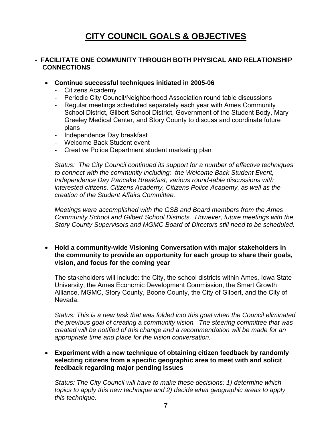### **CITY COUNCIL GOALS & OBJECTIVES**

#### - **FACILITATE ONE COMMUNITY THROUGH BOTH PHYSICAL AND RELATIONSHIP CONNECTIONS**

- **Continue successful techniques initiated in 2005-06** 
	- Citizens Academy
	- Periodic City Council/Neighborhood Association round table discussions
	- Regular meetings scheduled separately each year with Ames Community School District, Gilbert School District, Government of the Student Body, Mary Greeley Medical Center, and Story County to discuss and coordinate future plans
	- Independence Day breakfast
	- Welcome Back Student event
	- Creative Police Department student marketing plan

 *Status: The City Council continued its support for a number of effective techniques to connect with the community including: the Welcome Back Student Event, Independence Day Pancake Breakfast, various round-table discussions with interested citizens, Citizens Academy, Citizens Police Academy, as well as the creation of the Student Affairs Committee.* 

 *Meetings were accomplished with the GSB and Board members from the Ames Community School and Gilbert School Districts. However, future meetings with the Story County Supervisors and MGMC Board of Directors still need to be scheduled.*

• **Hold a community-wide Visioning Conversation with major stakeholders in the community to provide an opportunity for each group to share their goals, vision, and focus for the coming year** 

The stakeholders will include: the City, the school districts within Ames, Iowa State University, the Ames Economic Development Commission, the Smart Growth Alliance, MGMC, Story County, Boone County, the City of Gilbert, and the City of Nevada.

*Status: This is a new task that was folded into this goal when the Council eliminated the previous goal of creating a community vision. The steering committee that was created will be notified of this change and a recommendation will be made for an appropriate time and place for the vision conversation.* 

#### • **Experiment with a new technique of obtaining citizen feedback by randomly selecting citizens from a specific geographic area to meet with and solicit feedback regarding major pending issues**

 *Status: The City Council will have to make these decisions: 1) determine which topics to apply this new technique and 2) decide what geographic areas to apply this technique.*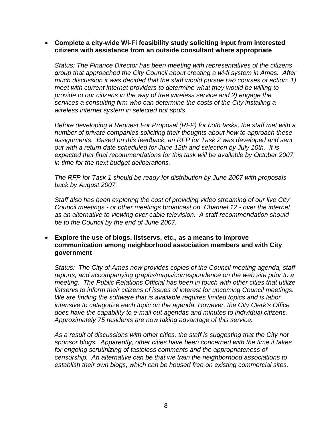#### • **Complete a city-wide Wi-Fi feasibility study soliciting input from interested citizens with assistance from an outside consultant where appropriate**

*Status: The Finance Director has been meeting with representatives of the citizens group that approached the City Council about creating a wi-fi system in Ames. After much discussion it was decided that the staff would pursue two courses of action: 1) meet with current internet providers to determine what they would be willing to provide to our citizens in the way of free wireless service and 2) engage the services a consulting firm who can determine the costs of the City installing a wireless internet system in selected hot spots.* 

*Before developing a Request For Proposal (RFP) for both tasks, the staff met with a number of private companies soliciting their thoughts about how to approach these assignments. Based on this feedback, an RFP for Task 2 was developed and sent out with a return date scheduled for June 12th and selection by July 10th. It is expected that final recommendations for this task will be available by October 2007, in time for the next budget deliberations.* 

*The RFP for Task 1 should be ready for distribution by June 2007 with proposals back by August 2007.* 

*Staff also has been exploring the cost of providing video streaming of our live City Council meetings - or other meetings broadcast on Channel 12 - over the internet as an alternative to viewing over cable television. A staff recommendation should be to the Council by the end of June 2007.* 

#### • **Explore the use of blogs, listservs, etc., as a means to improve communication among neighborhood association members and with City government**

*Status: The City of Ames now provides copies of the Council meeting agenda, staff reports, and accompanying graphs/maps/correspondence on the web site prior to a meeting. The Public Relations Official has been in touch with other cities that utilize listservs to inform their citizens of issues of interest for upcoming Council meetings. We are finding the software that is available requires limited topics and is labor intensive to categorize each topic on the agenda. However, the City Clerk's Office does have the capability to e-mail out agendas and minutes to individual citizens. Approximately 75 residents are now taking advantage of this service.* 

*As a result of discussions with other cities, the staff is suggesting that the City not sponsor blogs. Apparently, other cities have been concerned with the time it takes for ongoing scrutinizing of tasteless comments and the appropriateness of censorship. An alternative can be that we train the neighborhood associations to establish their own blogs, which can be housed free on existing commercial sites.*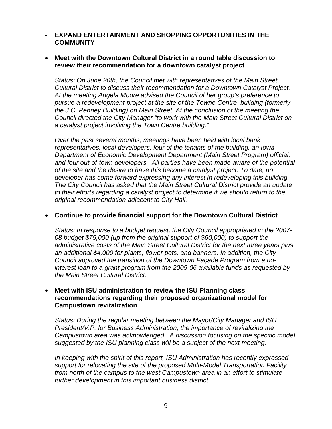#### **- EXPAND ENTERTAINMENT AND SHOPPING OPPORTUNITIES IN THE COMMUNITY**

#### • **Meet with the Downtown Cultural District in a round table discussion to review their recommendation for a downtown catalyst project**

*Status: On June 20th, the Council met with representatives of the Main Street Cultural District to discuss their recommendation for a Downtown Catalyst Project. At the meeting Angela Moore advised the Council of her group's preference to pursue a redevelopment project at the site of the Towne Centre building (formerly the J.C. Penney Building) on Main Street. At the conclusion of the meeting the Council directed the City Manager "to work with the Main Street Cultural District on a catalyst project involving the Town Centre building."* 

 *Over the past several months, meetings have been held with local bank representatives, local developers, four of the tenants of the building, an Iowa Department of Economic Development Department (Main Street Program) official, and four out-of-town developers. All parties have been made aware of the potential of the site and the desire to have this become a catalyst project. To date, no developer has come forward expressing any interest in redeveloping this building. The City Council has asked that the Main Street Cultural District provide an update to their efforts regarding a catalyst project to determine if we should return to the original recommendation adjacent to City Hall.* 

#### • **Continue to provide financial support for the Downtown Cultural District**

*Status: In response to a budget request, the City Council appropriated in the 2007- 08 budget \$75,000 (up from the original support of \$60,000) to support the administrative costs of the Main Street Cultural District for the next three years plus an additional \$4,000 for plants, flower pots, and banners. In addition, the City Council approved the transition of the Downtown Façade Program from a nointerest loan to a grant program from the 2005-06 available funds as requested by the Main Street Cultural District.* 

#### • **Meet with ISU administration to review the ISU Planning class recommendations regarding their proposed organizational model for Campustown revitalization**

*Status: During the regular meeting between the Mayor/City Manager and ISU President/V.P. for Business Administration, the importance of revitalizing the Campustown area was acknowledged. A discussion focusing on the specific model suggested by the ISU planning class will be a subject of the next meeting.* 

*In keeping with the spirit of this report, ISU Administration has recently expressed support for relocating the site of the proposed Multi-Model Transportation Facility from north of the campus to the west Campustown area in an effort to stimulate further development in this important business district.*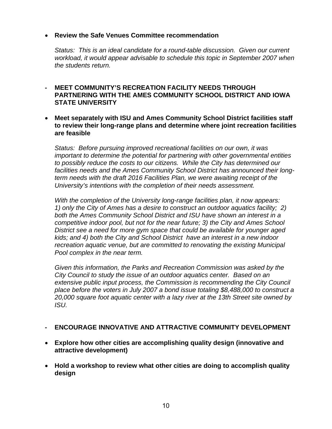#### • **Review the Safe Venues Committee recommendation**

*Status: This is an ideal candidate for a round-table discussion. Given our current workload, it would appear advisable to schedule this topic in September 2007 when the students return.* 

#### **- MEET COMMUNITY'S RECREATION FACILITY NEEDS THROUGH PARTNERING WITH THE AMES COMMUNITY SCHOOL DISTRICT AND IOWA STATE UNIVERSITY**

• **Meet separately with ISU and Ames Community School District facilities staff to review their long-range plans and determine where joint recreation facilities are feasible** 

*Status: Before pursuing improved recreational facilities on our own, it was important to determine the potential for partnering with other governmental entities to possibly reduce the costs to our citizens. While the City has determined our facilities needs and the Ames Community School District has announced their longterm needs with the draft 2016 Facilities Plan, we were awaiting receipt of the University's intentions with the completion of their needs assessment.* 

 *With the completion of the University long-range facilities plan, it now appears: 1) only the City of Ames has a desire to construct an outdoor aquatics facility; 2) both the Ames Community School District and ISU have shown an interest in a competitive indoor pool, but not for the near future; 3) the City and Ames School District see a need for more gym space that could be available for younger aged kids; and 4) both the City and School District have an interest in a new indoor recreation aquatic venue, but are committed to renovating the existing Municipal Pool complex in the near term.* 

 *Given this information, the Parks and Recreation Commission was asked by the City Council to study the issue of an outdoor aquatics center. Based on an extensive public input process, the Commission is recommending the City Council place before the voters in July 2007 a bond issue totaling \$8,488,000 to construct a 20,000 square foot aquatic center with a lazy river at the 13th Street site owned by ISU.* 

#### **- ENCOURAGE INNOVATIVE AND ATTRACTIVE COMMUNITY DEVELOPMENT**

- **Explore how other cities are accomplishing quality design (innovative and attractive development)**
- **Hold a workshop to review what other cities are doing to accomplish quality design**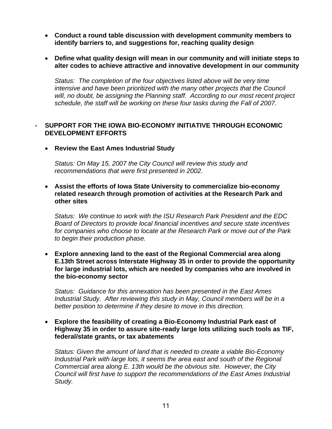- **Conduct a round table discussion with development community members to identify barriers to, and suggestions for, reaching quality design**
- **Define what quality design will mean in our community and will initiate steps to alter codes to achieve attractive and innovative development in our community**

*Status: The completion of the four objectives listed above will be very time intensive and have been prioritized with the many other projects that the Council will, no doubt, be assigning the Planning staff. According to our most recent project schedule, the staff will be working on these four tasks during the Fall of 2007.* 

#### **- SUPPORT FOR THE IOWA BIO-ECONOMY INITIATIVE THROUGH ECONOMIC DEVELOPMENT EFFORTS**

• **Review the East Ames Industrial Study** 

*Status: On May 15, 2007 the City Council will review this study and recommendations that were first presented in 2002.* 

• **Assist the efforts of Iowa State University to commercialize bio-economy related research through promotion of activities at the Research Park and other sites** 

*Status: We continue to work with the ISU Research Park President and the EDC Board of Directors to provide local financial incentives and secure state incentives for companies who choose to locate at the Research Park or move out of the Park to begin their production phase.* 

• **Explore annexing land to the east of the Regional Commercial area along E.13th Street across Interstate Highway 35 in order to provide the opportunity for large industrial lots, which are needed by companies who are involved in the bio-economy sector** 

*Status: Guidance for this annexation has been presented in the East Ames Industrial Study. After reviewing this study in May, Council members will be in a better position to determine if they desire to move in this direction.* 

• **Explore the feasibility of creating a Bio-Economy Industrial Park east of Highway 35 in order to assure site-ready large lots utilizing such tools as TIF, federal/state grants, or tax abatements** 

*Status: Given the amount of land that is needed to create a viable Bio-Economy Industrial Park with large lots, it seems the area east and south of the Regional Commercial area along E. 13th would be the obvious site. However, the City Council will first have to support the recommendations of the East Ames Industrial Study.*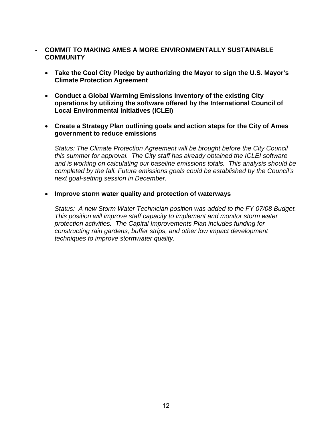#### **- COMMIT TO MAKING AMES A MORE ENVIRONMENTALLY SUSTAINABLE COMMUNITY**

- **Take the Cool City Pledge by authorizing the Mayor to sign the U.S. Mayor's Climate Protection Agreement**
- **Conduct a Global Warming Emissions Inventory of the existing City operations by utilizing the software offered by the International Council of Local Environmental Initiatives (ICLEI)**
- **Create a Strategy Plan outlining goals and action steps for the City of Ames government to reduce emissions**

*Status: The Climate Protection Agreement will be brought before the City Council this summer for approval. The City staff has already obtained the ICLEI software and is working on calculating our baseline emissions totals. This analysis should be completed by the fall. Future emissions goals could be established by the Council's next goal-setting session in December.* 

#### • **Improve storm water quality and protection of waterways**

*Status: A new Storm Water Technician position was added to the FY 07/08 Budget. This position will improve staff capacity to implement and monitor storm water protection activities. The Capital Improvements Plan includes funding for constructing rain gardens, buffer strips, and other low impact development techniques to improve stormwater quality.*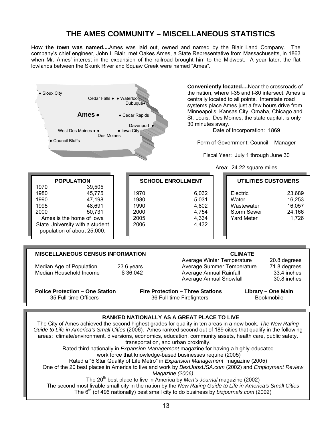### **THE AMES COMMUNITY – MISCELLANEOUS STATISTICS**

**How the town was named....**Ames was laid out, owned and named by the Blair Land Company. The company's chief engineer, John I. Blair, met Oakes Ames, a State Representative from Massachusetts, in 1863 when Mr. Ames' interest in the expansion of the railroad brought him to the Midwest. A year later, the flat lowlands between the Skunk River and Squaw Creek were named "Ames".



#### **RANKED NATIONALLY AS A GREAT PLACE TO LIVE**

The City of Ames achieved the second highest grades for quality in ten areas in a new book, *The New Rating Guide to Life in America's Small Cities* (2006). Ames ranked second out of 189 cities that qualify in the following areas: climate/environment, diversions, economics, education, community assets, health care, public safety, transportation, and urban proximity. Rated third nationally in *Expansion Management* magazine for having a highly-educated work force that knowledge-based businesses require (2005) Rated a "5 Star Quality of Life Metro" in *Expansion Management* magazine (2005) One of the 20 best places in America to live and work by *BestJobsUSA.com* (2002) and *Employment Review Magazine (2006)*  The 20<sup>th</sup> best place to live in America by *Men's Journal* magazine (2002) The second most livable small city in the nation by the *New Rating Guide to Life in America's Small Cities* The 6th (of 496 nationally) best small city to do business by *bizjournals.com* (2002)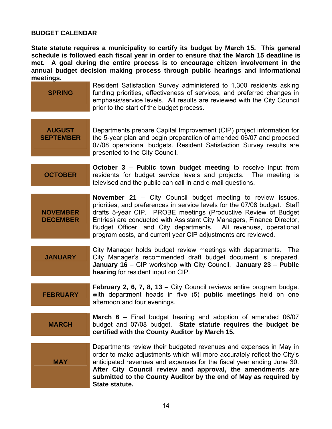#### **BUDGET CALENDAR**

**State statute requires a municipality to certify its budget by March 15. This general schedule is followed each fiscal year in order to ensure that the March 15 deadline is met. A goal during the entire process is to encourage citizen involvement in the annual budget decision making process through public hearings and informational meetings.** 

**SPRING**  Resident Satisfaction Survey administered to 1,300 residents asking funding priorities, effectiveness of services, and preferred changes in emphasis/service levels. All results are reviewed with the City Council prior to the start of the budget process. **AUGUST SEPTEMBER** Departments prepare Capital Improvement (CIP) project information for the 5-year plan and begin preparation of amended 06/07 and proposed 07/08 operational budgets. Resident Satisfaction Survey results are presented to the City Council. **OCTOBER October 3** – **Public town budget meeting** to receive input from residents for budget service levels and projects. The meeting is televised and the public can call in and e-mail questions. **NOVEMBER DECEMBER November 21** – City Council budget meeting to review issues, priorities, and preferences in service levels for the 07/08 budget. Staff drafts 5-year CIP. PROBE meetings (Productive Review of Budget Entries) are conducted with Assistant City Managers, Finance Director, Budget Officer, and City departments. All revenues, operational program costs, and current year CIP adjustments are reviewed. **JANUARY**  City Manager holds budget review meetings with departments. The City Manager's recommended draft budget document is prepared. **January 16** – CIP workshop with City Council. **January 23** – **Public hearing** for resident input on CIP. **FEBRUARY February 2, 6, 7, 8, 13** – City Council reviews entire program budget with department heads in five (5) **public meetings** held on one afternoon and four evenings. **MARCH March 6** – Final budget hearing and adoption of amended 06/07 budget and 07/08 budget. **State statute requires the budget be certified with the County Auditor by March 15. MAY**  Departments review their budgeted revenues and expenses in May in order to make adjustments which will more accurately reflect the City's anticipated revenues and expenses for the fiscal year ending June 30. **After City Council review and approval, the amendments are submitted to the County Auditor by the end of May as required by** 

**State statute.**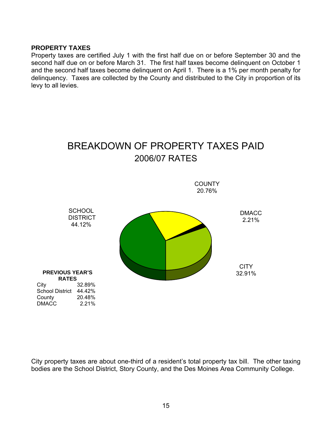#### **PROPERTY TAXES**

Property taxes are certified July 1 with the first half due on or before September 30 and the second half due on or before March 31. The first half taxes become delinquent on October 1 and the second half taxes become delinquent on April 1. There is a 1% per month penalty for delinquency. Taxes are collected by the County and distributed to the City in proportion of its levy to all levies.



City property taxes are about one-third of a resident's total property tax bill. The other taxing bodies are the School District, Story County, and the Des Moines Area Community College.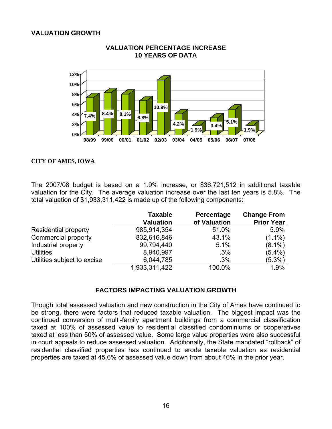#### **VALUATION GROWTH**



#### **VALUATION PERCENTAGE INCREASE 10 YEARS OF DATA**

#### **CITY OF AMES, IOWA**

The 2007/08 budget is based on a 1.9% increase, or \$36,721,512 in additional taxable valuation for the City. The average valuation increase over the last ten years is 5.8%. The total valuation of \$1,933,311,422 is made up of the following components:

|                             | <b>Taxable</b><br><b>Valuation</b> | Percentage<br>of Valuation | <b>Change From</b><br><b>Prior Year</b> |
|-----------------------------|------------------------------------|----------------------------|-----------------------------------------|
| <b>Residential property</b> | 985,914,354                        | 51.0%                      | 5.9%                                    |
| Commercial property         | 832,616,846                        | 43.1%                      | $(1.1\%)$                               |
| Industrial property         | 99,794,440                         | 5.1%                       | $(8.1\%)$                               |
| <b>Utilities</b>            | 8,940,997                          | $.5\%$                     | $(5.4\%)$                               |
| Utilities subject to excise | 6,044,785                          | .3%                        | $(5.3\%)$                               |
|                             | 1,933,311,422                      | 100.0%                     | 1.9%                                    |

#### **FACTORS IMPACTING VALUATION GROWTH**

Though total assessed valuation and new construction in the City of Ames have continued to be strong, there were factors that reduced taxable valuation. The biggest impact was the continued conversion of multi-family apartment buildings from a commercial classification taxed at 100% of assessed value to residential classified condominiums or cooperatives taxed at less than 50% of assessed value. Some large value properties were also successful in court appeals to reduce assessed valuation. Additionally, the State mandated "rollback" of residential classified properties has continued to erode taxable valuation as residential properties are taxed at 45.6% of assessed value down from about 46% in the prior year.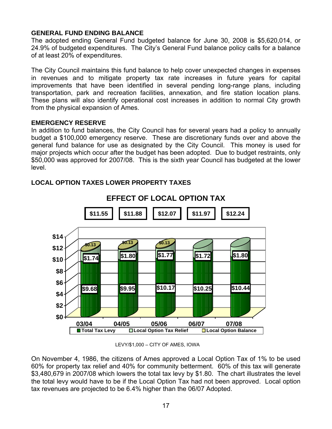#### **GENERAL FUND ENDING BALANCE**

The adopted ending General Fund budgeted balance for June 30, 2008 is \$5,620,014, or 24.9% of budgeted expenditures. The City's General Fund balance policy calls for a balance of at least 20% of expenditures.

The City Council maintains this fund balance to help cover unexpected changes in expenses in revenues and to mitigate property tax rate increases in future years for capital improvements that have been identified in several pending long-range plans, including transportation, park and recreation facilities, annexation, and fire station location plans. These plans will also identify operational cost increases in addition to normal City growth from the physical expansion of Ames.

#### **EMERGENCY RESERVE**

In addition to fund balances, the City Council has for several years had a policy to annually budget a \$100,000 emergency reserve. These are discretionary funds over and above the general fund balance for use as designated by the City Council. This money is used for major projects which occur after the budget has been adopted. Due to budget restraints, only \$50,000 was approved for 2007/08. This is the sixth year Council has budgeted at the lower level.



### **LOCAL OPTION TAXES LOWER PROPERTY TAXES**

LEVY/\$1,000 – CITY OF AMES, IOWA

On November 4, 1986, the citizens of Ames approved a Local Option Tax of 1% to be used 60% for property tax relief and 40% for community betterment. 60% of this tax will generate \$3,480,679 in 2007/08 which lowers the total tax levy by \$1.80. The chart illustrates the level the total levy would have to be if the Local Option Tax had not been approved. Local option tax revenues are projected to be 6.4% higher than the 06/07 Adopted.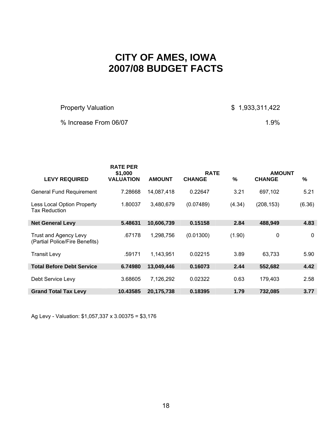### **CITY OF AMES, IOWA 2007/08 BUDGET FACTS**

Property Valuation **\$ 1,933,311,422** 

% Increase From 06/07 1.9%

|                                                                | <b>RATE PER</b><br>\$1,000 |               | <b>RATE</b>   |        | <b>AMOUNT</b> |        |
|----------------------------------------------------------------|----------------------------|---------------|---------------|--------|---------------|--------|
| <b>LEVY REQUIRED</b>                                           | <b>VALUATION</b>           | <b>AMOUNT</b> | <b>CHANGE</b> | $\%$   | <b>CHANGE</b> | $\%$   |
| <b>General Fund Requirement</b>                                | 7.28668                    | 14,087,418    | 0.22647       | 3.21   | 697,102       | 5.21   |
| <b>Less Local Option Property</b><br><b>Tax Reduction</b>      | 1.80037                    | 3,480,679     | (0.07489)     | (4.34) | (208, 153)    | (6.36) |
| <b>Net General Levy</b>                                        | 5.48631                    | 10,606,739    | 0.15158       | 2.84   | 488,949       | 4.83   |
| <b>Trust and Agency Levy</b><br>(Partial Police/Fire Benefits) | .67178                     | 1,298,756     | (0.01300)     | (1.90) | 0             | 0      |
| <b>Transit Levy</b>                                            | .59171                     | 1,143,951     | 0.02215       | 3.89   | 63.733        | 5.90   |
| <b>Total Before Debt Service</b>                               | 6.74980                    | 13,049,446    | 0.16073       | 2.44   | 552,682       | 4.42   |
| Debt Service Levy                                              | 3.68605                    | 7,126,292     | 0.02322       | 0.63   | 179,403       | 2.58   |
| <b>Grand Total Tax Levy</b>                                    | 10.43585                   | 20,175,738    | 0.18395       | 1.79   | 732,085       | 3.77   |

Ag Levy - Valuation: \$1,057,337 x 3.00375 = \$3,176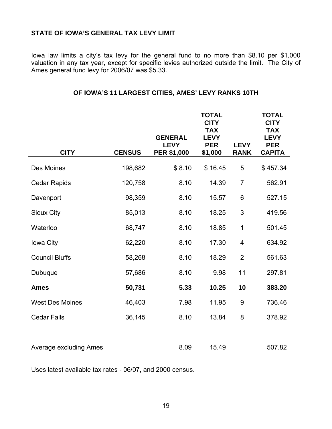#### **STATE OF IOWA'S GENERAL TAX LEVY LIMIT**

Iowa law limits a city's tax levy for the general fund to no more than \$8.10 per \$1,000 valuation in any tax year, except for specific levies authorized outside the limit. The City of Ames general fund levy for 2006/07 was \$5.33.

| <b>CITY</b>                   | <b>CENSUS</b> | <b>GENERAL</b><br><b>LEVY</b><br><b>PER \$1,000</b> | <b>TOTAL</b><br><b>CITY</b><br><b>TAX</b><br><b>LEVY</b><br><b>PER</b><br>\$1,000 | <b>LEVY</b><br><b>RANK</b> | <b>TOTAL</b><br><b>CITY</b><br><b>TAX</b><br><b>LEVY</b><br><b>PER</b><br><b>CAPITA</b> |
|-------------------------------|---------------|-----------------------------------------------------|-----------------------------------------------------------------------------------|----------------------------|-----------------------------------------------------------------------------------------|
| Des Moines                    | 198,682       | \$8.10                                              | \$16.45                                                                           | 5                          | \$457.34                                                                                |
| <b>Cedar Rapids</b>           | 120,758       | 8.10                                                | 14.39                                                                             | $\overline{7}$             | 562.91                                                                                  |
| Davenport                     | 98,359        | 8.10                                                | 15.57                                                                             | 6                          | 527.15                                                                                  |
| Sioux City                    | 85,013        | 8.10                                                | 18.25                                                                             | 3                          | 419.56                                                                                  |
| Waterloo                      | 68,747        | 8.10                                                | 18.85                                                                             | 1                          | 501.45                                                                                  |
| Iowa City                     | 62,220        | 8.10                                                | 17.30                                                                             | 4                          | 634.92                                                                                  |
| <b>Council Bluffs</b>         | 58,268        | 8.10                                                | 18.29                                                                             | $\overline{2}$             | 561.63                                                                                  |
| Dubuque                       | 57,686        | 8.10                                                | 9.98                                                                              | 11                         | 297.81                                                                                  |
| <b>Ames</b>                   | 50,731        | 5.33                                                | 10.25                                                                             | 10                         | 383.20                                                                                  |
| <b>West Des Moines</b>        | 46,403        | 7.98                                                | 11.95                                                                             | 9                          | 736.46                                                                                  |
| <b>Cedar Falls</b>            | 36,145        | 8.10                                                | 13.84                                                                             | 8                          | 378.92                                                                                  |
| <b>Average excluding Ames</b> |               | 8.09                                                | 15.49                                                                             |                            | 507.82                                                                                  |

#### **OF IOWA'S 11 LARGEST CITIES, AMES' LEVY RANKS 10TH**

Uses latest available tax rates - 06/07, and 2000 census.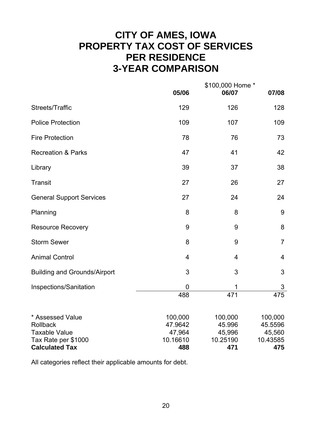### **CITY OF AMES, IOWA PROPERTY TAX COST OF SERVICES PER RESIDENCE 3-YEAR COMPARISON**

|                                                                             | 05/06                                    | \$100,000 Home *<br>06/07               | 07/08                                    |
|-----------------------------------------------------------------------------|------------------------------------------|-----------------------------------------|------------------------------------------|
| Streets/Traffic                                                             | 129                                      | 126                                     | 128                                      |
| <b>Police Protection</b>                                                    | 109                                      | 107                                     | 109                                      |
| <b>Fire Protection</b>                                                      | 78                                       | 76                                      | 73                                       |
| <b>Recreation &amp; Parks</b>                                               | 47                                       | 41                                      | 42                                       |
| Library                                                                     | 39                                       | 37                                      | 38                                       |
| <b>Transit</b>                                                              | 27                                       | 26                                      | 27                                       |
| <b>General Support Services</b>                                             | 27                                       | 24                                      | 24                                       |
| Planning                                                                    | 8                                        | 8                                       | 9                                        |
| <b>Resource Recovery</b>                                                    | 9                                        | 9                                       | 8                                        |
| <b>Storm Sewer</b>                                                          | 8                                        | 9                                       | $\overline{7}$                           |
| <b>Animal Control</b>                                                       | 4                                        | 4                                       | 4                                        |
| <b>Building and Grounds/Airport</b>                                         | 3                                        | 3                                       | 3                                        |
| Inspections/Sanitation                                                      | 0                                        | 1                                       | 3                                        |
|                                                                             | 488                                      | 471                                     | 475                                      |
| * Assessed Value<br>Rollback<br><b>Taxable Value</b><br>Tax Rate per \$1000 | 100,000<br>47.9642<br>47,964<br>10.16610 | 100,000<br>45.996<br>45,996<br>10.25190 | 100,000<br>45.5596<br>45,560<br>10.43585 |
| <b>Calculated Tax</b>                                                       | 488                                      | 471                                     | 475                                      |

All categories reflect their applicable amounts for debt.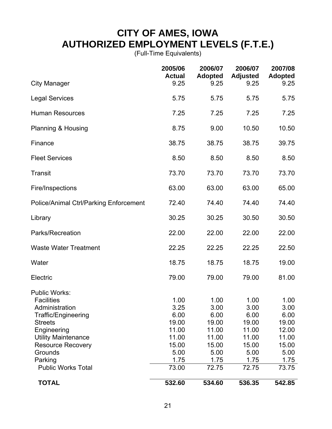### **CITY OF AMES, IOWA AUTHORIZED EMPLOYMENT LEVELS (F.T.E.)**

(Full-Time Equivalents)

|                                                                                                                                                                                                 | 2005/06<br><b>Actual</b>                                         | 2006/07<br><b>Adopted</b>                                        | 2006/07<br><b>Adjusted</b>                                       | 2007/08<br><b>Adopted</b>                                        |
|-------------------------------------------------------------------------------------------------------------------------------------------------------------------------------------------------|------------------------------------------------------------------|------------------------------------------------------------------|------------------------------------------------------------------|------------------------------------------------------------------|
| <b>City Manager</b>                                                                                                                                                                             | 9.25                                                             | 9.25                                                             | 9.25                                                             | 9.25                                                             |
| <b>Legal Services</b>                                                                                                                                                                           | 5.75                                                             | 5.75                                                             | 5.75                                                             | 5.75                                                             |
| <b>Human Resources</b>                                                                                                                                                                          | 7.25                                                             | 7.25                                                             | 7.25                                                             | 7.25                                                             |
| Planning & Housing                                                                                                                                                                              | 8.75                                                             | 9.00                                                             | 10.50                                                            | 10.50                                                            |
| Finance                                                                                                                                                                                         | 38.75                                                            | 38.75                                                            | 38.75                                                            | 39.75                                                            |
| <b>Fleet Services</b>                                                                                                                                                                           | 8.50                                                             | 8.50                                                             | 8.50                                                             | 8.50                                                             |
| <b>Transit</b>                                                                                                                                                                                  | 73.70                                                            | 73.70                                                            | 73.70                                                            | 73.70                                                            |
| Fire/Inspections                                                                                                                                                                                | 63.00                                                            | 63.00                                                            | 63.00                                                            | 65.00                                                            |
| <b>Police/Animal Ctrl/Parking Enforcement</b>                                                                                                                                                   | 72.40                                                            | 74.40                                                            | 74.40                                                            | 74.40                                                            |
| Library                                                                                                                                                                                         | 30.25                                                            | 30.25                                                            | 30.50                                                            | 30.50                                                            |
| Parks/Recreation                                                                                                                                                                                | 22.00                                                            | 22.00                                                            | 22.00                                                            | 22.00                                                            |
| <b>Waste Water Treatment</b>                                                                                                                                                                    | 22.25                                                            | 22.25                                                            | 22.25                                                            | 22.50                                                            |
| Water                                                                                                                                                                                           | 18.75                                                            | 18.75                                                            | 18.75                                                            | 19.00                                                            |
| Electric                                                                                                                                                                                        | 79.00                                                            | 79.00                                                            | 79.00                                                            | 81.00                                                            |
| <b>Public Works:</b><br><b>Facilities</b><br>Administration<br><b>Traffic/Engineering</b><br><b>Streets</b><br>Engineering<br><b>Utility Maintenance</b><br><b>Resource Recovery</b><br>Grounds | 1.00<br>3.25<br>6.00<br>19.00<br>11.00<br>11.00<br>15.00<br>5.00 | 1.00<br>3.00<br>6.00<br>19.00<br>11.00<br>11.00<br>15.00<br>5.00 | 1.00<br>3.00<br>6.00<br>19.00<br>11.00<br>11.00<br>15.00<br>5.00 | 1.00<br>3.00<br>6.00<br>19.00<br>12.00<br>11.00<br>15.00<br>5.00 |
| Parking<br><b>Public Works Total</b>                                                                                                                                                            | 1.75<br>73.00                                                    | 1.75<br>72.75                                                    | 1.75<br>72.75                                                    | 1.75<br>73.75                                                    |
| <b>TOTAL</b>                                                                                                                                                                                    | 532.60                                                           | 534.60                                                           | 536.35                                                           | 542.85                                                           |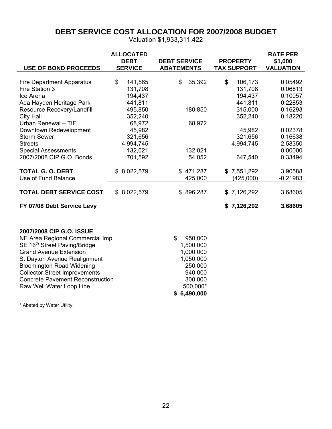### **DEBT SERVICE COST ALLOCATION FOR 2007/2008 BUDGET**

Valuation \$1,933,311,422

|                                          | <b>ALLOCATED</b><br><b>DEBT</b> | <b>DEBT SERVICE</b> | <b>PROPERTY</b>    | <b>RATE PER</b><br>\$1,000 |
|------------------------------------------|---------------------------------|---------------------|--------------------|----------------------------|
| <b>USE OF BOND PROCEEDS</b>              | <b>SERVICE</b>                  | <b>ABATEMENTS</b>   | <b>TAX SUPPORT</b> | <b>VALUATION</b>           |
| <b>Fire Department Apparatus</b>         | \$<br>141,565                   | \$<br>35,392        | \$<br>106,173      | 0.05492                    |
| Fire Station 3                           | 131,708                         |                     | 131,708            | 0.06813                    |
| Ice Arena                                | 194,437                         |                     | 194,437            | 0.10057                    |
| Ada Hayden Heritage Park                 | 441,811                         |                     | 441,811            | 0.22853                    |
| Resource Recovery/Landfill               | 495,850                         | 180,850             | 315,000            | 0.16293                    |
| <b>City Hall</b>                         | 352,240                         |                     | 352,240            | 0.18220                    |
| Urban Renewal - TIF                      | 68,972                          | 68,972              |                    |                            |
| Downtown Redevelopment                   | 45,982                          |                     | 45,982             | 0.02378                    |
| <b>Storm Sewer</b>                       | 321,656                         |                     | 321,656            | 0.16638                    |
| <b>Streets</b>                           | 4,994,745                       |                     | 4,994,745          | 2.58350                    |
| <b>Special Assessments</b>               | 132,021                         | 132,021             |                    | 0.00000                    |
| 2007/2008 CIP G.O. Bonds                 | 701,592                         | 54,052              | 647,540            | 0.33494                    |
|                                          |                                 |                     |                    |                            |
| <b>TOTAL G. O. DEBT</b>                  | \$8,022,579                     | \$471,287           | \$7,551,292        | 3.90588                    |
| Use of Fund Balance                      |                                 | 425,000             | (425,000)          | $-0.21983$                 |
|                                          |                                 |                     |                    |                            |
| <b>TOTAL DEBT SERVICE COST</b>           | \$8,022,579                     | \$896,287           | \$7,126,292        | 3.68605                    |
| FY 07/08 Debt Service Levy               |                                 |                     | \$7,126,292        | 3.68605                    |
| 2007/2008 CIP G.O. ISSUE                 |                                 |                     |                    |                            |
| NE Area Regional Commercial Imp.         |                                 | \$<br>950,000       |                    |                            |
| SE 16 <sup>th</sup> Street Paving/Bridge |                                 | 1,500,000           |                    |                            |
| <b>Grand Avenue Extension</b>            |                                 | 1,000,000           |                    |                            |
| S. Dayton Avenue Realignment             |                                 | 1,050,000           |                    |                            |
| <b>Bloomington Road Widening</b>         |                                 | 250,000             |                    |                            |
| <b>Collector Street Improvements</b>     |                                 | 940,000             |                    |                            |
| <b>Concrete Pavement Reconstruction</b>  |                                 | 300,000             |                    |                            |
| Raw Well Water Loop Line                 |                                 | 500,000*            |                    |                            |
|                                          |                                 | \$6,490,000         |                    |                            |

\* Abated by Water Utility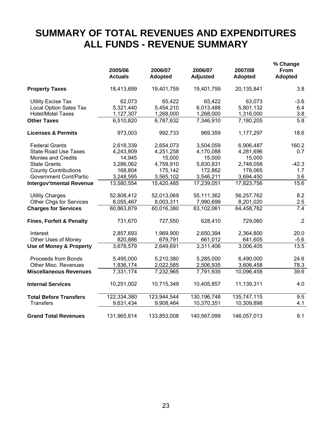### **SUMMARY OF TOTAL REVENUES AND EXPENDITURES ALL FUNDS - REVENUE SUMMARY**

|                                     | 2005/06<br><b>Actuals</b> | 2006/07<br><b>Adopted</b> | 2006/07<br><b>Adjusted</b> | 2007/08<br><b>Adopted</b> | % Change<br>From<br>Adopted |
|-------------------------------------|---------------------------|---------------------------|----------------------------|---------------------------|-----------------------------|
| <b>Property Taxes</b>               | 18,413,699                | 19,401,759                | 19,401,759                 | 20,135,841                | 3.8                         |
| <b>Utility Excise Tax</b>           | 62,073                    | 65,422                    | 65,422                     | 63,073                    | $-3.6$                      |
| <b>Local Option Sales Tax</b>       | 5,321,440                 | 5,454,210                 | 6,013,488                  | 5,801,132                 | 6.4                         |
| <b>Hotel/Motel Taxes</b>            | 1,127,307                 | 1,268,000                 | 1,268,000                  | 1,316,000                 | 3.8                         |
| <b>Other Taxes</b>                  | 6,510,820                 | 6,787,632                 | 7,346,910                  | 7,180,205                 | 5.8                         |
| <b>Licenses &amp; Permits</b>       | 973,003                   | 992,733                   | 969,359                    | 1,177,297                 | 18.6                        |
| <b>Federal Grants</b>               | 2,618,339                 | 2,654,073                 | 3,504,059                  | 6,906,487                 | 160.2                       |
| <b>State Road Use Taxes</b>         | 4,243,809                 | 4,251,258                 | 4,170,088                  | 4,281,696                 | 0.7                         |
| <b>Monies and Credits</b>           | 14,945                    | 15,000                    | 15,000                     | 15,000                    |                             |
| <b>State Grants</b>                 | 3,286,062                 | 4,759,910                 | 5,830,831                  | 2,748,058                 | $-42.3$                     |
| <b>County Contributions</b>         | 168,804                   | 175,142                   | 172,862                    | 178,065                   | 1.7                         |
| <b>Government Cont/Partic</b>       | 3,248,595                 | 3,565,102                 | 3,546,211                  | 3,694,450                 | 3.6                         |
| <b>Intergov'tmental Revenue</b>     | 13,580,554                | 15,420,485                | 17,239,051                 | 17,823,756                | 15.6                        |
| <b>Utility Charges</b>              | 52,808,412                | 52,013,069                | 55,111,362                 | 56,257,762                | 8.2                         |
| <b>Other Chgs for Services</b>      | 8,055,467                 | 8,003,311                 | 7,990,699                  | 8,201,020                 | 2.5                         |
| <b>Charges for Services</b>         | 60,863,879                | 60,016,380                | 63,102,061                 | 64,458,782                | 7.4                         |
| <b>Fines, Forfeit &amp; Penalty</b> | 731,670                   | 727,550                   | 628,410                    | 729,060                   | .2                          |
| Interest                            | 2,857,693                 | 1,969,900                 | 2,650,394                  | 2,364,800                 | 20.0                        |
| Other Uses of Money                 | 820,886                   | 679,791                   | 661,012                    | 641,605                   | $-5.6$                      |
| <b>Use of Money &amp; Property</b>  | 3,678,579                 | 2,649,691                 | 3,311,406                  | 3,006,405                 | 13.5                        |
| Proceeds from Bonds                 | 5,495,000                 | 5,210,380                 | 5,285,000                  | 6,490,000                 | 24.6                        |
| <b>Other Misc. Revenues</b>         | 1,836,174                 | 2,022,585                 | 2,506,935                  | 3,606,458                 | 78.3                        |
| <b>Miscellaneous Revenues</b>       | 7,331,174                 | 7,232,965                 | 7,791,935                  | 10,096,458                | 39.6                        |
| <b>Internal Services</b>            | 10,251,002                | 10,715,349                | 10,405,857                 | 11,139,311                | 4.0                         |
| <b>Total Before Transfers</b>       | 122,334,380               | 123,944,544               | 130,196,748                | 135,747,115               | 9.5                         |
| <b>Transfers</b>                    | 9,631,434                 | 9,908,464                 | 10,370,351                 | 10,309,898                | 4.1                         |
| <b>Grand Total Revenues</b>         | 131,965,814               | 133,853,008               | 140,567,099                | 146,057,013               | 9.1                         |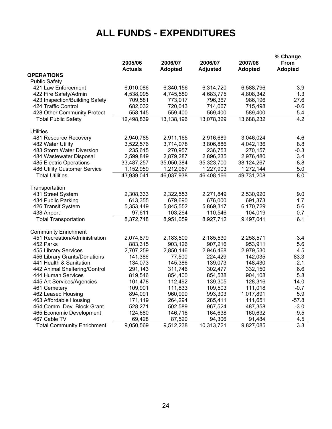## **ALL FUNDS - EXPENDITURES**

|                                   | 2005/06<br><b>Actuals</b> | 2006/07<br><b>Adopted</b> | 2006/07<br><b>Adjusted</b> | 2007/08<br><b>Adopted</b> | % Change<br>From<br><b>Adopted</b> |
|-----------------------------------|---------------------------|---------------------------|----------------------------|---------------------------|------------------------------------|
| <b>OPERATIONS</b>                 |                           |                           |                            |                           |                                    |
| <b>Public Safety</b>              |                           |                           |                            |                           |                                    |
| 421 Law Enforcement               | 6,010,086                 | 6,340,156                 | 6,314,720                  | 6,588,796                 | 3.9                                |
| 422 Fire Safety/Admin             | 4,538,995                 | 4,745,580                 | 4,683,775                  | 4,808,342                 | 1.3                                |
| 423 Inspection/Building Safety    | 709,581                   | 773,017                   | 796,367                    | 986,196                   | 27.6                               |
| 424 Traffic Control               | 682,032                   | 720,043                   | 714,067                    | 715,498                   | $-0.6$                             |
| 428 Other Community Protect       | 558,145                   | 559,400                   | 569,400                    | 589,400                   | 5.4                                |
| <b>Total Public Safety</b>        | 12,498,839                | 13,138,196                | 13,078,329                 | 13,688,232                | 4.2                                |
| <b>Utilities</b>                  |                           |                           |                            |                           |                                    |
| 481 Resource Recovery             | 2,940,785                 | 2,911,165                 | 2,916,689                  | 3,046,024                 | 4.6                                |
| 482 Water Utility                 | 3,522,576                 | 3,714,078                 | 3,806,886                  | 4,042,136                 | 8.8                                |
| 483 Storm Water Diversion         | 235,615                   | 270,957                   | 236,753                    | 270,157                   | $-0.3$                             |
| 484 Wastewater Disposal           | 2,599,849                 | 2,879,287                 | 2,896,235                  | 2,976,480                 | 3.4                                |
| 485 Electric Operations           | 33,487,257                | 35,050,384                | 35,323,700                 | 38,124,267                | 8.8                                |
| 486 Utility Customer Service      | 1,152,959                 | 1,212,067                 | 1,227,903                  | 1,272,144                 | 5.0                                |
| <b>Total Utilities</b>            | 43,939,041                | 46,037,938                | 46,408,166                 | 49,731,208                | $\overline{8.0}$                   |
| Transportation                    |                           |                           |                            |                           |                                    |
| 431 Street System                 | 2,308,333                 | 2,322,553                 | 2,271,849                  | 2,530,920                 | 9.0                                |
| 434 Public Parking                | 613,355                   | 679,690                   | 676,000                    | 691,373                   | 1.7                                |
| 426 Transit System                | 5,353,449                 | 5,845,552                 | 5,869,317                  | 6,170,729                 | 5.6                                |
| 438 Airport                       | 97,611                    | 103,264                   | 110,546                    | 104,019                   | 0.7                                |
| <b>Total Transportation</b>       | 8,372,748                 | 8,951,059                 | 8,927,712                  | 9,497,041                 | 6.1                                |
| <b>Community Enrichment</b>       |                           |                           |                            |                           |                                    |
| 451 Recreation/Administration     | 2,074,879                 | 2,183,500                 | 2,185,530                  | 2,258,571                 | 3.4                                |
| 452 Parks                         | 883,315                   | 903,126                   | 907,216                    | 953,911                   | 5.6                                |
| 455 Library Services              | 2,707,259                 | 2,850,146                 | 2,946,468                  | 2,979,530                 | 4.5                                |
| 456 Library Grants/Donations      | 141,386                   | 77,500                    | 224,429                    | 142,035                   | 83.3                               |
| 441 Health & Sanitation           | 134,073                   | 145,386                   | 139,073                    | 148,430                   | 2.1                                |
| 442 Animal Sheltering/Control     | 291,143                   | 311,746                   | 302,477                    | 332,150                   | 6.6                                |
| 444 Human Services                | 819,546                   | 854,400                   | 854,538                    | 904,108                   | 5.8                                |
| 445 Art Services/Agencies         | 101,478                   | 112,492                   | 139,305                    | 128,316                   | 14.0                               |
| 461 Cemetery                      | 109,901                   | 111,833                   | 109,503                    | 111,018                   | $-0.7$                             |
| 462 Leased Housing                | 894,091                   | 960,990                   | 993,303                    | 1,017,891                 | 5.9                                |
| 463 Affordable Housing            | 171,119                   | 264,294                   | 285,411                    | 111,651                   | $-57.8$                            |
| 464 Comm. Dev. Block Grant        | 528,271                   | 502,589                   | 967,524                    | 487,358                   | $-3.0$                             |
| 465 Economic Development          | 124,680                   | 146,716                   | 164,638                    | 160,632                   | 9.5                                |
| 467 Cable TV                      | 69,428                    | 87,520                    | 94,306                     | 91,484                    | 4.5                                |
| <b>Total Community Enrichment</b> | 9,050,569                 | 9,512,238                 | 10,313,721                 | 9,827,085                 | 3.3                                |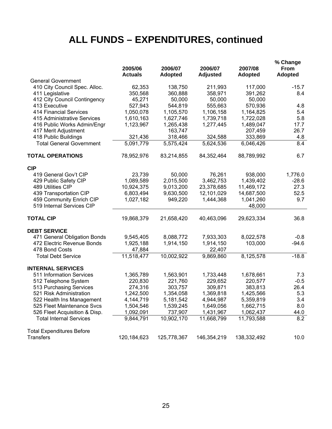# **ALL FUNDS – EXPENDITURES, continued**

|                                                                 | 2005/06<br><b>Actuals</b> | 2006/07<br><b>Adopted</b> | 2006/07<br><b>Adjusted</b> | 2007/08<br><b>Adopted</b> | % Change<br>From<br>Adopted |
|-----------------------------------------------------------------|---------------------------|---------------------------|----------------------------|---------------------------|-----------------------------|
| <b>General Government</b>                                       |                           |                           |                            |                           |                             |
| 410 City Council Spec. Alloc.                                   | 62,353                    | 138,750                   | 211,993                    | 117,000                   | $-15.7$                     |
| 411 Legislative                                                 | 350,568                   | 360,888                   | 358,971                    | 391,262                   | 8.4                         |
| 412 City Council Contingency                                    | 45,271                    | 50,000                    | 50,000                     | 50,000                    |                             |
| 413 Executive                                                   | 527,943                   | 544,819                   | 555,663                    | 570,936                   | 4.8                         |
| <b>414 Financial Services</b>                                   | 1,050,078                 | 1,105,570                 | 1,106,158                  | 1,164,825                 | 5.4                         |
| 415 Administrative Services                                     | 1,610,163                 | 1,627,746                 | 1,739,718                  | 1,722,028                 | 5.8                         |
| 416 Public Works Admin/Engr                                     | 1,123,967                 | 1,265,438                 | 1,277,445                  | 1,489,047                 | 17.7                        |
| 417 Merit Adjustment                                            |                           | 163,747                   |                            | 207,459                   | 26.7                        |
| 418 Public Buildings                                            | 321,436                   | 318,466                   | 324,588                    | 333,869                   | 4.8                         |
| <b>Total General Government</b>                                 | 5,091,779                 | 5,575,424                 | 5,624,536                  | 6,046,426                 | 8.4                         |
| <b>TOTAL OPERATIONS</b>                                         | 78,952,976                | 83,214,855                | 84,352,464                 | 88,789,992                | 6.7                         |
| <b>CIP</b>                                                      |                           |                           |                            |                           |                             |
| 419 General Gov't CIP                                           | 23,739                    | 50,000                    | 76,261                     | 938,000                   | 1,776.0                     |
| 429 Public Safety CIP                                           | 1,089,589                 | 2,015,500                 | 3,462,753                  | 1,439,402                 | $-28.6$                     |
| 489 Utilities CIP                                               | 10,924,375                | 9,013,200                 | 23,378,685                 | 11,469,172                | 27.3                        |
| 439 Transportation CIP                                          | 6,803,494                 | 9,630,500                 | 12,101,029                 | 14,687,500                | 52.5                        |
| 459 Community Enrich CIP                                        | 1,027,182                 | 949,220                   | 1,444,368                  | 1,041,260                 | 9.7                         |
| 519 Internal Services CIP                                       |                           |                           |                            | 48,000                    |                             |
| <b>TOTAL CIP</b>                                                | 19,868,379                | 21,658,420                | 40,463,096                 | 29,623,334                | 36.8                        |
| <b>DEBT SERVICE</b>                                             |                           |                           |                            |                           |                             |
| 471 General Obligation Bonds                                    | 9,545,405                 | 8,088,772                 | 7,933,303                  | 8,022,578                 | $-0.8$                      |
| 472 Electric Revenue Bonds                                      | 1,925,188                 | 1,914,150                 | 1,914,150                  | 103,000                   | $-94.6$                     |
| 478 Bond Costs                                                  | 47,884                    |                           | 22,407                     |                           |                             |
| <b>Total Debt Service</b>                                       | 11,518,477                | 10,002,922                | 9,869,860                  | 8,125,578                 | $-18.8$                     |
| <b>INTERNAL SERVICES</b>                                        |                           |                           |                            |                           |                             |
| 511 Information Services                                        | 1,365,789                 | 1,563,901                 | 1,733,448                  | 1,678,661                 | 7.3                         |
| 512 Telephone System                                            | 220,830                   | 221,760                   | 229,652                    | 220,577                   | $-0.5$                      |
| 513 Purchasing Services                                         | 274,316                   | 303,757                   | 309,871                    | 383,813                   | 26.4                        |
| 521 Risk Administration                                         | 1,242,500                 | 1,354,058                 | 1,369,818                  | 1,425,566                 | 5.3                         |
| 522 Health Ins Management                                       | 4,144,719                 | 5,181,542                 | 4,944,987                  | 5,359,819                 | 3.4                         |
| 525 Fleet Maintenance Svcs                                      | 1,504,546                 | 1,539,245                 | 1,649,056                  | 1,662,715                 | 8.0                         |
| 526 Fleet Acquisition & Disp.<br><b>Total Internal Services</b> | 1,092,091<br>9,844,791    | 737,907<br>10,902,170     | 1,431,967<br>11,668,799    | 1,062,437<br>11,793,588   | 44.0<br>8.2                 |
|                                                                 |                           |                           |                            |                           |                             |
| <b>Total Expenditures Before</b>                                |                           |                           |                            |                           |                             |
| <b>Transfers</b>                                                | 120, 184, 623             | 125,778,367               | 146,354,219                | 138,332,492               | 10.0                        |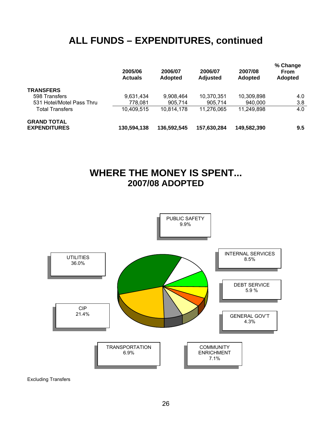### **ALL FUNDS – EXPENDITURES, continued**

|                                           | 2005/06<br><b>Actuals</b> | 2006/07<br><b>Adopted</b> | 2006/07<br><b>Adjusted</b> | 2007/08<br><b>Adopted</b> | % Change<br><b>From</b><br><b>Adopted</b> |
|-------------------------------------------|---------------------------|---------------------------|----------------------------|---------------------------|-------------------------------------------|
| <b>TRANSFERS</b>                          |                           |                           |                            |                           |                                           |
| 598 Transfers                             | 9,631,434                 | 9,908,464                 | 10,370,351                 | 10,309,898                | 4.0                                       |
| 531 Hotel/Motel Pass Thru                 | 778,081                   | 905.714                   | 905.714                    | 940,000                   | 3.8                                       |
| <b>Total Transfers</b>                    | 10,409,515                | 10,814,178                | 11,276,065                 | 11,249,898                | 4.0                                       |
| <b>GRAND TOTAL</b><br><b>EXPENDITURES</b> | 130,594,138               | 136,592,545               | 157,630,284                | 149,582,390               | 9.5                                       |

### **WHERE THE MONEY IS SPENT... 2007/08 ADOPTED**



Excluding Transfers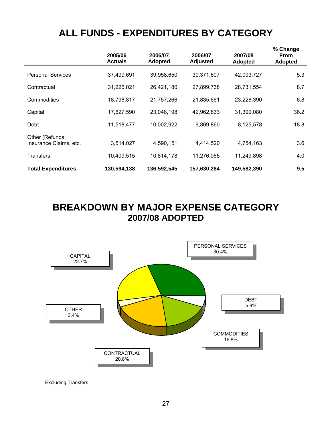### **ALL FUNDS - EXPENDITURES BY CATEGORY**

|                                           | 2005/06<br><b>Actuals</b> | 2006/07<br><b>Adopted</b> | 2006/07<br><b>Adjusted</b> | 2007/08<br><b>Adopted</b> | % Change<br><b>From</b><br><b>Adopted</b> |
|-------------------------------------------|---------------------------|---------------------------|----------------------------|---------------------------|-------------------------------------------|
| <b>Personal Services</b>                  | 37,499,691                | 39,958,650                | 39,371,607                 | 42,093,727                | 5.3                                       |
| Contractual                               | 31,226,021                | 26,421,180                | 27,899,738                 | 28,731,554                | 8.7                                       |
| Commodities                               | 18,798,817                | 21,757,266                | 21,835,661                 | 23,228,390                | 6.8                                       |
| Capital                                   | 17,627,590                | 23,048,198                | 42,962,833                 | 31,399,080                | 36.2                                      |
| Debt                                      | 11,518,477                | 10,002,922                | 9,869,860                  | 8,125,578                 | $-18.8$                                   |
| Other (Refunds,<br>Insurance Claims, etc. | 3,514,027                 | 4,590,151                 | 4,414,520                  | 4,754,163                 | 3.6                                       |
| <b>Transfers</b>                          | 10,409,515                | 10,814,178                | 11,276,065                 | 11,249,898                | 4.0                                       |
| <b>Total Expenditures</b>                 | 130,594,138               | 136,592,545               | 157,630,284                | 149,582,390               | 9.5                                       |

**BREAKDOWN BY MAJOR EXPENSE CATEGORY 2007/08 ADOPTED** 



Excluding Transfers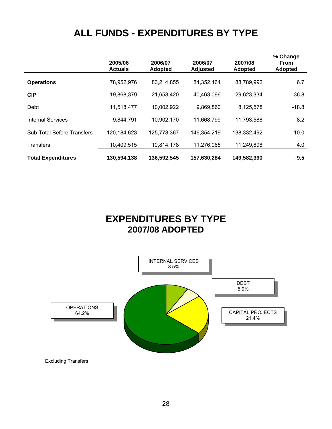### **ALL FUNDS - EXPENDITURES BY TYPE**

|                                   | 2005/06<br><b>Actuals</b> | 2006/07<br><b>Adopted</b> | 2006/07<br><b>Adjusted</b> | 2007/08<br><b>Adopted</b> | % Change<br><b>From</b><br><b>Adopted</b> |
|-----------------------------------|---------------------------|---------------------------|----------------------------|---------------------------|-------------------------------------------|
| <b>Operations</b>                 | 78,952,976                | 83,214,855                | 84,352,464                 | 88,789,992                | 6.7                                       |
| <b>CIP</b>                        | 19,868,379                | 21,658,420                | 40,463,096                 | 29,623,334                | 36.8                                      |
| Debt                              | 11,518,477                | 10,002,922                | 9,869,860                  | 8,125,578                 | $-18.8$                                   |
| <b>Internal Services</b>          | 9,844,791                 | 10,902,170                | 11,668,799                 | 11,793,588                | 8.2                                       |
| <b>Sub-Total Before Transfers</b> | 120,184,623               | 125,778,367               | 146,354,219                | 138,332,492               | 10.0                                      |
| <b>Transfers</b>                  | 10,409,515                | 10,814,178                | 11,276,065                 | 11,249,898                | 4.0                                       |
| <b>Total Expenditures</b>         | 130,594,138               | 136,592,545               | 157,630,284                | 149,582,390               | 9.5                                       |

### **EXPENDITURES BY TYPE 2007/08 ADOPTED**

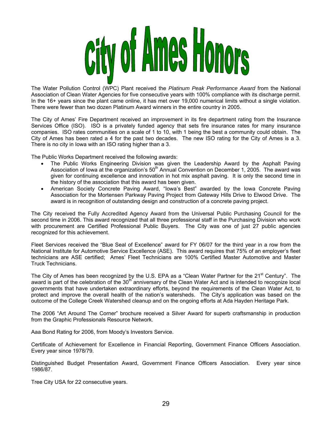

The Water Pollution Control (WPC) Plant received the *Platinum Peak Performance Award* from the National Association of Clean Water Agencies for five consecutive years with 100% compliance with its discharge permit. In the 16+ years since the plant came online, it has met over 19,000 numerical limits without a single violation. There were fewer than two dozen Platinum Award winners in the entire country in 2005.

The City of Ames' Fire Department received an improvement in its fire department rating from the Insurance Services Office (ISO). ISO is a privately funded agency that sets fire insurance rates for many insurance companies. ISO rates communities on a scale of 1 to 10, with 1 being the best a community could obtain. The City of Ames has been rated a 4 for the past two decades. The new ISO rating for the City of Ames is a 3. There is no city in Iowa with an ISO rating higher than a 3.

The Public Works Department received the following awards:

- The Public Works Engineering Division was given the Leadership Award by the Asphalt Paving Association of Iowa at the organization's  $50<sup>th</sup>$  Annual Convention on December 1, 2005. The award was given for continuing excellence and innovation in hot mix asphalt paving. It is only the second time in the history of the association that this award has been given.
- American Society Concrete Paving Award, "Iowa's Best" awarded by the Iowa Concrete Paving Association for the Mortensen Parkway Paving Project from Gateway Hills Drive to Elwood Drive. The award is in recognition of outstanding design and construction of a concrete paving project.

The City received the Fully Accredited Agency Award from the Universal Public Purchasing Council for the second time in 2006. This award recognized that all three professional staff in the Purchasing Division who work with procurement are Certified Professional Public Buyers. The City was one of just 27 public agencies recognized for this achievement.

Fleet Services received the "Blue Seal of Excellence" award for FY 06/07 for the third year in a row from the National Institute for Automotive Service Excellence (ASE). This award requires that 75% of an employer's fleet technicians are ASE certified; Ames' Fleet Technicians are 100% Certified Master Automotive and Master Truck Technicians.

The City of Ames has been recognized by the U.S. EPA as a "Clean Water Partner for the 21<sup>st</sup> Century". The award is part of the celebration of the 30<sup>th</sup> anniversary of the Clean Water Act and is intended to recognize local governments that have undertaken extraordinary efforts, beyond the requirements of the Clean Water Act, to protect and improve the overall health of the nation's watersheds. The City's application was based on the outcome of the College Creek Watershed cleanup and on the ongoing efforts at Ada Hayden Heritage Park.

The 2006 "Art Around The Corner" brochure received a Silver Award for superb craftsmanship in production from the Graphic Professionals Resource Network.

Aaa Bond Rating for 2006, from Moody's Investors Service.

Certificate of Achievement for Excellence in Financial Reporting, Government Finance Officers Association. Every year since 1978/79.

Distinguished Budget Presentation Award, Government Finance Officers Association. Every year since 1986/87.

Tree City USA for 22 consecutive years.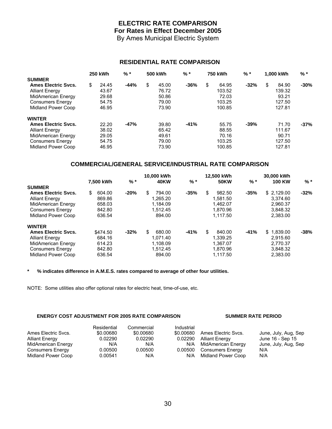### **ELECTRIC RATE COMPARISON For Rates in Effect December 2005**

By Ames Municipal Electric System

#### **RESIDENTIAL RATE COMPARISON**

|                            | <b>250 kWh</b> | % *    | 500 kWh     | % *    | 750 kWh |        | $%$ *  |    | 1.000 kWh |        |  |
|----------------------------|----------------|--------|-------------|--------|---------|--------|--------|----|-----------|--------|--|
| <b>SUMMER</b>              |                |        |             |        |         |        |        |    |           |        |  |
| <b>Ames Electric Svcs.</b> | \$<br>24.45    | $-44%$ | \$<br>45.00 | $-36%$ | \$      | 64.95  | $-32%$ | \$ | 84.90     | $-30%$ |  |
| <b>Alliant Energy</b>      | 43.67          |        | 76.72       |        |         | 103.52 |        |    | 139.32    |        |  |
| MidAmerican Energy         | 29.68          |        | 50.86       |        |         | 72.03  |        |    | 93.21     |        |  |
| <b>Consumers Energy</b>    | 54.75          |        | 79.00       |        |         | 103.25 |        |    | 127.50    |        |  |
| Midland Power Coop         | 46.95          |        | 73.90       |        |         | 100.85 |        |    | 127.81    |        |  |
| <b>WINTER</b>              |                |        |             |        |         |        |        |    |           |        |  |
| <b>Ames Electric Svcs.</b> | 22.20          | $-47%$ | 39.80       | $-41%$ |         | 55.75  | $-39%$ |    | 71.70     | $-37%$ |  |
| <b>Alliant Energy</b>      | 38.02          |        | 65.42       |        |         | 88.55  |        |    | 111.67    |        |  |
| MidAmerican Energy         | 29.05          |        | 49.61       |        |         | 70.16  |        |    | 90.71     |        |  |
| <b>Consumers Energy</b>    | 54.75          |        | 79.00       |        |         | 103.25 |        |    | 127.50    |        |  |
| Midland Power Coop         | 46.95          |        | 73.90       |        |         | 100.85 |        |    | 127.81    |        |  |

#### **COMMERCIAL/GENERAL SERVICE/INDUSTRIAL RATE COMPARISON**

|                            | 7.500 kWh    | $%$ *  | 10.000 kWh<br>40KW | $%$ *  | 12.500 kWh<br><b>50KW</b> | $%$ *  | 30,000 kWh<br><b>100 KW</b> | $%$ *   |
|----------------------------|--------------|--------|--------------------|--------|---------------------------|--------|-----------------------------|---------|
| <b>SUMMER</b>              |              |        |                    |        |                           |        |                             |         |
| <b>Ames Electric Svcs.</b> | \$<br>604.00 | $-20%$ | \$<br>794.00       | $-35%$ | 982.50<br>\$              | $-35%$ | \$2,129.00                  | $-32\%$ |
| <b>Alliant Energy</b>      | 869.86       |        | 1.265.20           |        | 1.581.50                  |        | 3.374.60                    |         |
| MidAmerican Energy         | 658.03       |        | 1.184.09           |        | 1.462.07                  |        | 2.960.37                    |         |
| <b>Consumers Energy</b>    | 842.80       |        | 1.512.45           |        | 1.870.96                  |        | 3,848.32                    |         |
| Midland Power Coop         | 636.54       |        | 894.00             |        | 1.117.50                  |        | 2.383.00                    |         |
| <b>WINTER</b>              |              |        |                    |        |                           |        |                             |         |
| <b>Ames Electric Svcs.</b> | \$474.50     | $-32%$ | \$<br>680.00       | $-41%$ | \$.<br>840.00             | $-41%$ | \$1.839.00                  | -38%    |
| <b>Alliant Energy</b>      | 684.16       |        | 1.071.40           |        | 1.339.25                  |        | 2.915.60                    |         |
| MidAmerican Energy         | 614.23       |        | 1.108.09           |        | 1.367.07                  |        | 2.770.37                    |         |
| <b>Consumers Energy</b>    | 842.80       |        | 1.512.45           |        | 1.870.96                  |        | 3,848.32                    |         |
| Midland Power Coop         | 636.54       |        | 894.00             |        | 1.117.50                  |        | 2,383.00                    |         |

**\* % indicates difference in A.M.E.S. rates compared to average of other four utilities.** 

NOTE: Some utilities also offer optional rates for electric heat, time-of-use, etc.

#### **ENERGY COST ADJUSTMENT FOR 2005 RATE COMPARISON SUMMER RATE PERIOD**

|                       | Residential | Commercial | Industrial |                         |                      |
|-----------------------|-------------|------------|------------|-------------------------|----------------------|
| Ames Electric Svcs.   | \$0.00680   | \$0.00680  | \$0.00680  | Ames Electric Sycs.     | June, July, Aug, Sep |
| <b>Alliant Energy</b> | 0.02290     | 0.02290    | 0.02290    | <b>Alliant Energy</b>   | June 16 - Sep 15     |
| MidAmerican Energy    | N/A         | N/A        | N/A        | MidAmerican Energy      | June, July, Aug, Sep |
| Consumers Energy      | 0.00500     | 0.00500    | 0.00500    | <b>Consumers Energy</b> | N/A                  |
| Midland Power Coop    | 0.00541     | N/A        | N/A        | Midland Power Coop      | N/A                  |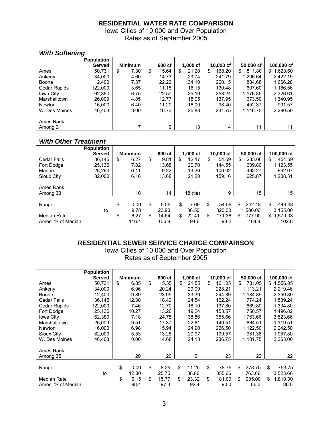#### **RESIDENTIAL WATER RATE COMPARISON**

Iowa Cities of 10,000 and Over Population Rates as of September 2005

#### *With Softening*

|               | <b>Population</b> |                |             |   |            |              |               |                |
|---------------|-------------------|----------------|-------------|---|------------|--------------|---------------|----------------|
|               | <b>Served</b>     | <b>Minimum</b> | 600 cf      |   | $1,000$ cf | 10,000 cf    | 50,000 cf     | 100,000 cf     |
| Ames          | 50.731            | 7.30<br>\$     | \$<br>15.64 | S | 21.20      | 168.20<br>\$ | 811.80<br>\$. | 1,623.60<br>\$ |
| Ankeny        | 34,000            | 4.60           | 14.73       |   | 23.74      | 241.79       | 1,206.64      | 2.422.19       |
| Boone         | 12,400            | 7.37           | 22.22       |   | 34.10      | 260.15       | 884.68        | 1,666.28       |
| Cedar Rapids  | 122,000           | 3.65           | 11.15       |   | 16.15      | 130.48       | 607.60        | 1,186.56       |
| Iowa City     | 62,380            | 6.75           | 22.50       |   | 35.10      | 258.24       | 1,176.85      | 2,326.61       |
| Marshalltown  | 26,009            | 4.85           | 12.77       |   | 18.05      | 137.95       | 673.50        | 1,340.95       |
| <b>Newton</b> | 16,000            | 6.40           | 11.20       |   | 16.00      | 98.40        | 452.37        | 901.57         |
| W. Des Moines | 46.403            | 3.00           | 16.73       |   | 25.88      | 231.75       | 1.146.75      | 2.290.50       |
| Ames Rank     |                   |                |             |   |            |              |               |                |
| Among 21      |                   | ⇁              | 9           |   | 13         | 14           | 11            | 11             |

#### *With Other Treatment*

|                    | <b>Population</b> |                |             |             |              |              |                |
|--------------------|-------------------|----------------|-------------|-------------|--------------|--------------|----------------|
|                    | <b>Served</b>     | <b>Minimum</b> | 600 cf      | $1,000$ cf  | 10,000 cf    | 50,000 cf    | 100,000 cf     |
| <b>Cedar Falls</b> | 36,145            | \$<br>6.27     | \$<br>9.81  | \$<br>12.17 | \$<br>54.59  | \$<br>233.06 | \$<br>454.59   |
| Fort Dodge         | 25,136            | 7.82           | 13.68       | 20.70       | 144.55       | 609.80       | 1,123.55       |
| Marion             | 26.294            | 6.11           | 9.22        | 13.36       | 106.02       | 493.27       | 962.07         |
| Sioux City         | 82,000            | 6.16           | 13.68       | 21.20       | 159.16       | 625.87       | 1,208.31       |
| Ames Rank          |                   |                |             |             |              |              |                |
| Among 33           |                   | 10             | 14          | 18 (tie)    | 19           | 15           | 15             |
|                    |                   |                |             |             |              |              |                |
| Range              |                   | \$<br>0.00     | \$<br>5.05  | \$<br>7.69  | \$<br>54.59  | \$<br>242.48 | \$<br>446.48   |
|                    | to                | 9.78           | 23.90       | 36.50       | 320.00       | 1.580.00     | 3,155.00       |
| Median Rate        |                   | \$<br>6.27     | \$<br>14.64 | \$<br>22.41 | \$<br>171.36 | \$<br>777.90 | 1,579.03<br>\$ |
| Ames, % of Median  |                   | 116.4          | 106.8       | 94.6        | 98.2         | 104.4        | 102.8          |

#### **RESIDENTIAL SEWER SERVICE CHARGE COMPARISON**

Iowa Cities of 10,000 and Over Population Rates as of September 2005

|                     | <b>Population</b> |                |             |             |              |              |                |
|---------------------|-------------------|----------------|-------------|-------------|--------------|--------------|----------------|
|                     | <b>Served</b>     | <b>Minimum</b> | 600 cf      | $1,000$ cf  | 10,000 cf    | 50,000 cf    | 100,000 cf     |
| Ames                | 50.731            | \$<br>6.05     | \$<br>15.35 | \$<br>21.55 | \$<br>161.05 | \$<br>781.05 | \$1,556.05     |
| Ankeny              | 34,000            | 6.96           | 20.24       | 29.09       | 228.21       | 1,113.21     | 2,219.46       |
| Boone               | 12,400            | 9.89           | 23.99       | 33.39       | 244.89       | 1,184.89     | 2,359.89       |
| <b>Cedar Falls</b>  | 36,145            | 12.30          | 18.42       | 24.54       | 162.24       | 774.24       | 1,539.24       |
| <b>Cedar Rapids</b> | 122,000           | 7.46           | 12.70       | 18.10       | 137.80       | 669.80       | 1,334.80       |
| Fort Dodge          | 25,136            | 10.27          | 13.26       | 19.24       | 153.57       | 750.57       | 1,496.82       |
| Iowa City           | 62,380            | 7.18           | 24.78       | 38.86       | 355.66       | 1,763.66     | 3,523.66       |
| Marshalltown        | 26,009            | 9.51           | 17.37       | 22.61       | 140.51       | 664.51       | 1,319.51       |
| <b>Newton</b>       | 16,000            | 6.98           | 15.94       | 24.90       | 226.50       | 1,122.50     | 2,242.50       |
| Sioux City          | 82,000            | 5.53           | 13.25       | 20.97       | 199.57       | 981.38       | 1,957.80       |
| W. Des Moines       | 46,403            | 0.00           | 14.68       | 24.13       | 236.75       | 1,181.75     | 2,363.00       |
| Ames Rank           |                   |                |             |             |              |              |                |
| Among 35            |                   | 20             | 20          | 21          | 23           | 22           | 22             |
|                     |                   |                |             |             |              |              |                |
| Range               |                   | \$<br>0.00     | \$<br>8.25  | \$<br>11.25 | \$<br>78.75  | \$<br>378.75 | \$<br>753.75   |
|                     | to                | 12.30          | 25.75       | 38.86       | 355.66       | 1,763.66     | 3,523.66       |
| <b>Median Rate</b>  |                   | \$<br>6.15     | \$<br>15.77 | \$<br>23.32 | \$<br>181.00 | \$<br>905.00 | \$<br>1,810.00 |
| Ames, % of Median   |                   | 98.4           | 97.3        | 92.4        | 90.0         | 86.3         | 86.0           |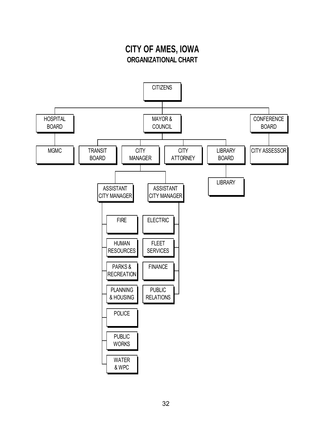### **CITY OF AMES, IOWA ORGANIZATIONAL CHART**

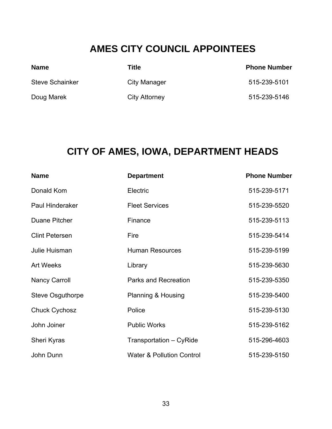### **AMES CITY COUNCIL APPOINTEES**

| <b>Name</b>            | Title         | <b>Phone Number</b> |
|------------------------|---------------|---------------------|
| <b>Steve Schainker</b> | City Manager  | 515-239-5101        |
| Doug Marek             | City Attorney | 515-239-5146        |

# **CITY OF AMES, IOWA, DEPARTMENT HEADS**

| <b>Name</b>            | <b>Department</b>                    | <b>Phone Number</b> |
|------------------------|--------------------------------------|---------------------|
| Donald Kom             | Electric                             | 515-239-5171        |
| <b>Paul Hinderaker</b> | <b>Fleet Services</b>                | 515-239-5520        |
| Duane Pitcher          | Finance                              | 515-239-5113        |
| <b>Clint Petersen</b>  | Fire                                 | 515-239-5414        |
| Julie Huisman          | <b>Human Resources</b>               | 515-239-5199        |
| <b>Art Weeks</b>       | Library                              | 515-239-5630        |
| <b>Nancy Carroll</b>   | <b>Parks and Recreation</b>          | 515-239-5350        |
| Steve Osguthorpe       | Planning & Housing                   | 515-239-5400        |
| <b>Chuck Cychosz</b>   | Police                               | 515-239-5130        |
| John Joiner            | <b>Public Works</b>                  | 515-239-5162        |
| Sheri Kyras            | Transportation - CyRide              | 515-296-4603        |
| John Dunn              | <b>Water &amp; Pollution Control</b> | 515-239-5150        |